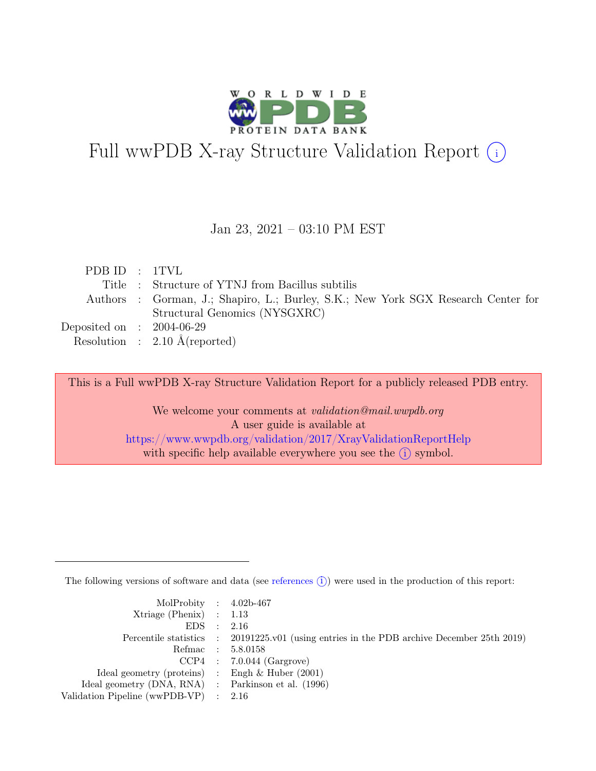

# Full wwPDB X-ray Structure Validation Report  $\textcircled{\textsc{i}}$

#### Jan 23, 2021 – 03:10 PM EST

| PDBID : 1TVL                |                                                                                   |
|-----------------------------|-----------------------------------------------------------------------------------|
|                             | Title : Structure of YTNJ from Bacillus subtilis                                  |
|                             | Authors : Gorman, J.; Shapiro, L.; Burley, S.K.; New York SGX Research Center for |
|                             | Structural Genomics (NYSGXRC)                                                     |
| Deposited on : $2004-06-29$ |                                                                                   |
|                             | Resolution : $2.10 \text{ Å}$ (reported)                                          |

This is a Full wwPDB X-ray Structure Validation Report for a publicly released PDB entry.

We welcome your comments at *validation@mail.wwpdb.org* A user guide is available at <https://www.wwpdb.org/validation/2017/XrayValidationReportHelp> with specific help available everywhere you see the  $(i)$  symbol.

The following versions of software and data (see [references](https://www.wwpdb.org/validation/2017/XrayValidationReportHelp#references)  $(i)$ ) were used in the production of this report:

| MolProbity : $4.02b-467$                            |                                                                                            |
|-----------------------------------------------------|--------------------------------------------------------------------------------------------|
| $Xtriangle (Phenix)$ : 1.13                         |                                                                                            |
| EDS : 2.16                                          |                                                                                            |
|                                                     | Percentile statistics : 20191225.v01 (using entries in the PDB archive December 25th 2019) |
|                                                     | Refmac : 5.8.0158                                                                          |
|                                                     | $CCP4$ : 7.0.044 (Gargrove)                                                                |
| Ideal geometry (proteins) : Engh $\&$ Huber (2001)  |                                                                                            |
| Ideal geometry (DNA, RNA) : Parkinson et al. (1996) |                                                                                            |
| Validation Pipeline (wwPDB-VP) : 2.16               |                                                                                            |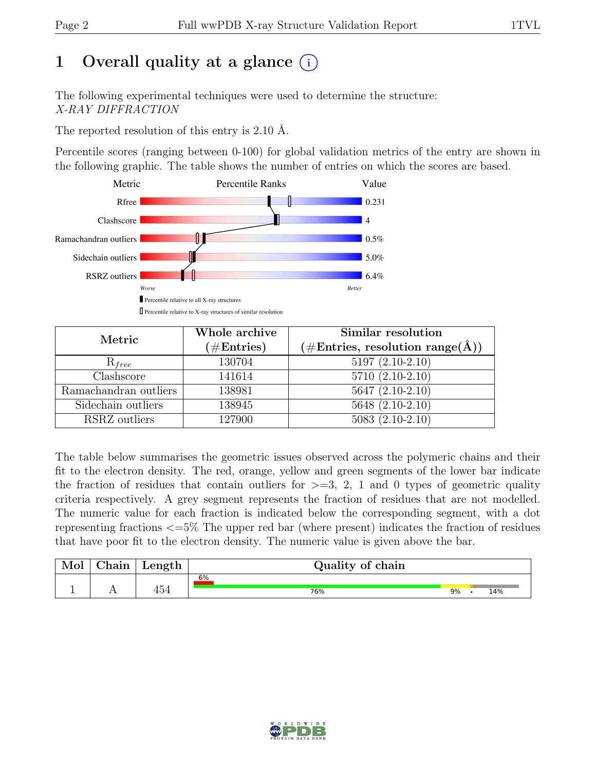# 1 Overall quality at a glance  $(i)$

The following experimental techniques were used to determine the structure: X-RAY DIFFRACTION

The reported resolution of this entry is 2.10 Å.

Percentile scores (ranging between 0-100) for global validation metrics of the entry are shown in the following graphic. The table shows the number of entries on which the scores are based.



| Metric                | Whole archive<br>$(\#Entries)$ | Similar resolution<br>$(\#Entries, resolution range(A))$ |  |  |
|-----------------------|--------------------------------|----------------------------------------------------------|--|--|
| $R_{free}$            | 130704                         | $5197(2.10-2.10)$                                        |  |  |
| Clashscore            | 141614                         | $5710(2.10-2.10)$                                        |  |  |
| Ramachandran outliers | 138981                         | $5647 (2.10-2.10)$                                       |  |  |
| Sidechain outliers    | 138945                         | $5648(2.10-2.10)$                                        |  |  |
| RSRZ outliers         | 127900                         | $5083(2.10-2.10)$                                        |  |  |

The table below summarises the geometric issues observed across the polymeric chains and their fit to the electron density. The red, orange, yellow and green segments of the lower bar indicate the fraction of residues that contain outliers for  $\geq$ =3, 2, 1 and 0 types of geometric quality criteria respectively. A grey segment represents the fraction of residues that are not modelled. The numeric value for each fraction is indicated below the corresponding segment, with a dot representing fractions <=5% The upper red bar (where present) indicates the fraction of residues that have poor fit to the electron density. The numeric value is given above the bar.

| Mol | hain | Length         | Quality of chain |    |     |
|-----|------|----------------|------------------|----|-----|
|     |      |                | 6%               |    |     |
| л.  | . .  | $4 - 4$<br>454 | 76%              | 9% | 4%، |

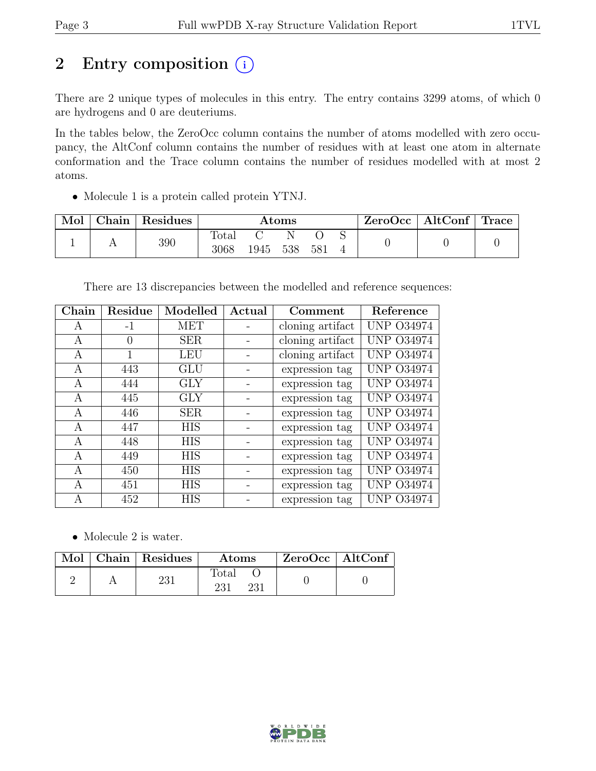# 2 Entry composition  $(i)$

There are 2 unique types of molecules in this entry. The entry contains 3299 atoms, of which 0 are hydrogens and 0 are deuteriums.

In the tables below, the ZeroOcc column contains the number of atoms modelled with zero occupancy, the AltConf column contains the number of residues with at least one atom in alternate conformation and the Trace column contains the number of residues modelled with at most 2 atoms.

• Molecule 1 is a protein called protein YTNJ.

| Mol |  | Chain Residues | Atoms          |      |       |     |  |  | $\text{ZeroOcc}$   AltConf   Trace |  |
|-----|--|----------------|----------------|------|-------|-----|--|--|------------------------------------|--|
|     |  | 390            | $\text{Total}$ |      |       |     |  |  |                                    |  |
|     |  |                | 3068           | 1945 | - 538 | 581 |  |  |                                    |  |

There are 13 discrepancies between the modelled and reference sequences:

| Chain | Residue | Modelled   | Actual | Comment          | Reference         |
|-------|---------|------------|--------|------------------|-------------------|
| A     | $-1$    | <b>MET</b> |        | cloning artifact | <b>UNP 034974</b> |
| А     | 0       | <b>SER</b> |        | cloning artifact | <b>UNP 034974</b> |
| А     |         | <b>LEU</b> |        | cloning artifact | <b>UNP 034974</b> |
| А     | 443     | GLU        |        | expression tag   | <b>UNP 034974</b> |
| A     | 444     | <b>GLY</b> |        | expression tag   | <b>UNP 034974</b> |
| А     | 445     | <b>GLY</b> |        | expression tag   | <b>UNP 034974</b> |
| А     | 446     | <b>SER</b> |        | expression tag   | <b>UNP 034974</b> |
| A     | 447     | <b>HIS</b> |        | expression tag   | <b>UNP 034974</b> |
| А     | 448     | <b>HIS</b> |        | expression tag   | <b>UNP 034974</b> |
| A     | 449     | HIS        |        | expression tag   | <b>UNP 034974</b> |
| А     | 450     | <b>HIS</b> |        | expression tag   | <b>UNP 034974</b> |
| A     | 451     | <b>HIS</b> |        | expression tag   | <b>UNP 034974</b> |
| А     | 452     | <b>HIS</b> |        | expression tag   | <b>UNP 034974</b> |

• Molecule 2 is water.

|  | Mol   Chain   Residues | Atoms               | $ZeroOcc$   AltConf |
|--|------------------------|---------------------|---------------------|
|  | 231                    | Total<br>231<br>າາ1 |                     |

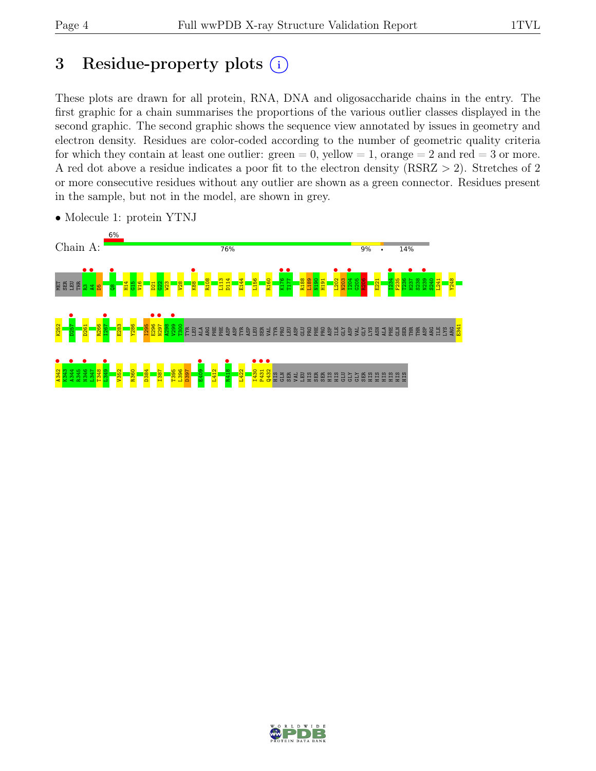# 3 Residue-property plots  $(i)$

These plots are drawn for all protein, RNA, DNA and oligosaccharide chains in the entry. The first graphic for a chain summarises the proportions of the various outlier classes displayed in the second graphic. The second graphic shows the sequence view annotated by issues in geometry and electron density. Residues are color-coded according to the number of geometric quality criteria for which they contain at least one outlier:  $green = 0$ , yellow  $= 1$ , orange  $= 2$  and red  $= 3$  or more. A red dot above a residue indicates a poor fit to the electron density (RSRZ > 2). Stretches of 2 or more consecutive residues without any outlier are shown as a green connector. Residues present in the sample, but not in the model, are shown in grey.



• Molecule 1: protein YTNJ

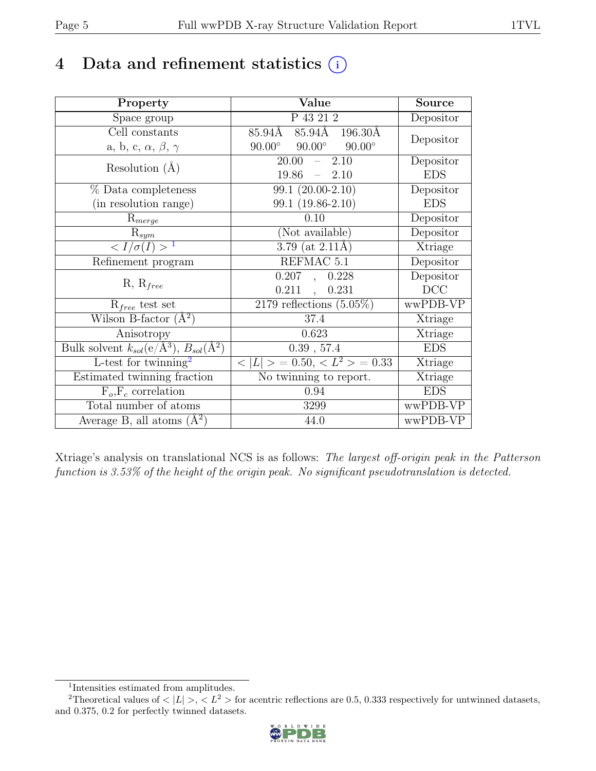## 4 Data and refinement statistics  $(i)$

| Property                                                             | Value                                            | <b>Source</b> |
|----------------------------------------------------------------------|--------------------------------------------------|---------------|
| Space group                                                          | P 43 21 2                                        | Depositor     |
| Cell constants                                                       | 85.94Å 85.94Å 196.30Å                            | Depositor     |
| a, b, c, $\alpha$ , $\beta$ , $\gamma$                               | $90.00^{\circ}$ $90.00^{\circ}$<br>$90.00^\circ$ |               |
| Resolution $(A)$                                                     | 2.10<br>20.00<br>$\frac{1}{2}$                   | Depositor     |
|                                                                      | 19.86<br>$-2.10$                                 | <b>EDS</b>    |
| % Data completeness                                                  | $\overline{99.1}$ (20.00-2.10)                   | Depositor     |
| (in resolution range)                                                | 99.1 (19.86-2.10)                                | <b>EDS</b>    |
| $R_{merge}$                                                          | 0.10                                             | Depositor     |
| $R_{sym}$                                                            | (Not available)                                  | Depositor     |
| $\langle I/\sigma(I) \rangle$ <sup>1</sup>                           | $3.79$ (at $2.11\text{\AA}$ )                    | Xtriage       |
| Refinement program                                                   | REFMAC 5.1                                       | Depositor     |
|                                                                      | 0.207, 0.228                                     | Depositor     |
| $R, R_{free}$                                                        | $0.211$ ,<br>0.231                               | DCC           |
| $R_{free}$ test set                                                  | $\overline{2179}$ reflections $(5.05\%)$         | wwPDB-VP      |
| Wilson B-factor $(A^2)$                                              | $37.4\,$                                         | Xtriage       |
| Anisotropy                                                           | 0.623                                            | Xtriage       |
| Bulk solvent $k_{sol}(e/\mathring{A}^3)$ , $B_{sol}(\mathring{A}^2)$ | $0.39$ , 57.4                                    | <b>EDS</b>    |
| L-test for twinning <sup>2</sup>                                     | $< L >$ = 0.50, $< L^2 >$ = 0.33                 | Xtriage       |
| Estimated twinning fraction                                          | No twinning to report.                           | Xtriage       |
| $\overline{F_o,F_c}$ correlation                                     | 0.94                                             | <b>EDS</b>    |
| Total number of atoms                                                | 3299                                             | wwPDB-VP      |
| Average B, all atoms $(A^2)$                                         | 44.0                                             | wwPDB-VP      |

Xtriage's analysis on translational NCS is as follows: The largest off-origin peak in the Patterson function is 3.53% of the height of the origin peak. No significant pseudotranslation is detected.

<sup>&</sup>lt;sup>2</sup>Theoretical values of  $\langle |L| \rangle$ ,  $\langle L^2 \rangle$  for acentric reflections are 0.5, 0.333 respectively for untwinned datasets, and 0.375, 0.2 for perfectly twinned datasets.



<span id="page-4-1"></span><span id="page-4-0"></span><sup>1</sup> Intensities estimated from amplitudes.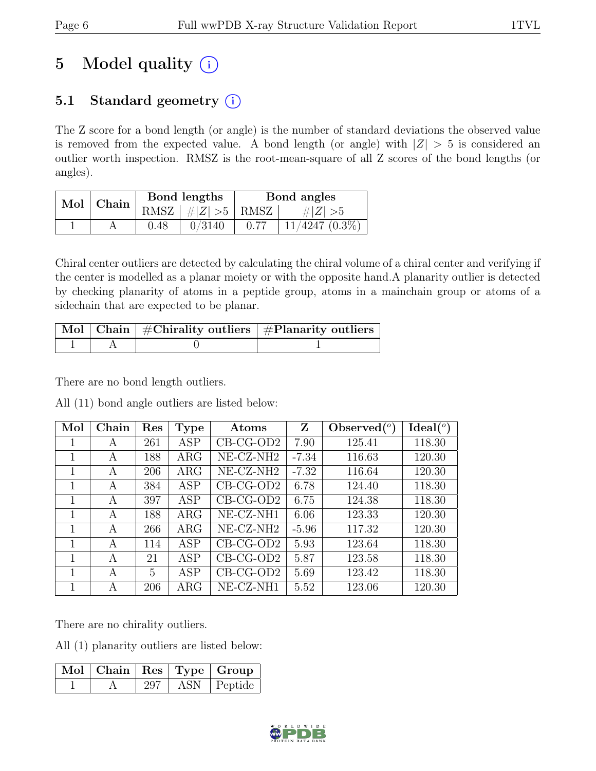# 5 Model quality  $(i)$

### 5.1 Standard geometry  $(i)$

The Z score for a bond length (or angle) is the number of standard deviations the observed value is removed from the expected value. A bond length (or angle) with  $|Z| > 5$  is considered an outlier worth inspection. RMSZ is the root-mean-square of all Z scores of the bond lengths (or angles).

| Mol | $\,$ Chain |      | Bond lengths  | Bond angles |                     |  |
|-----|------------|------|---------------|-------------|---------------------|--|
|     |            | RMSZ | $\#Z >5$ RMSZ |             | # $ Z  > 5$         |  |
|     |            | 9.48 | 0/3140        |             | $11/4247$ $(0.3\%)$ |  |

Chiral center outliers are detected by calculating the chiral volume of a chiral center and verifying if the center is modelled as a planar moiety or with the opposite hand.A planarity outlier is detected by checking planarity of atoms in a peptide group, atoms in a mainchain group or atoms of a sidechain that are expected to be planar.

|  | Mol   Chain   #Chirality outliers   #Planarity outliers |
|--|---------------------------------------------------------|
|  |                                                         |

There are no bond length outliers.

|  |  |  |  | All (11) bond angle outliers are listed below: |  |  |  |
|--|--|--|--|------------------------------------------------|--|--|--|
|--|--|--|--|------------------------------------------------|--|--|--|

| Mol | Chain | $\operatorname{Res}% \left( \mathcal{N}\right) \equiv\operatorname{Res}(\mathcal{N}_{0})\cap\mathcal{N}_{1}$ | <b>Type</b> | Atoms                 | Z       | Observed $(°)$ | Ideal(°) |
|-----|-------|--------------------------------------------------------------------------------------------------------------|-------------|-----------------------|---------|----------------|----------|
| 1   | A     | 261                                                                                                          | ASP         | $CB-CG-OD2$           | 7.90    | 125.41         | 118.30   |
| 1   | A     | 188                                                                                                          | $\rm{ARG}$  | NE-CZ-NH <sub>2</sub> | $-7.34$ | 116.63         | 120.30   |
| 1   | A     | 206                                                                                                          | $\rm{ARG}$  | NE-CZ-NH <sub>2</sub> | $-7.32$ | 116.64         | 120.30   |
| 1   | A     | 384                                                                                                          | ASP         | $CB-CG-OD2$           | 6.78    | 124.40         | 118.30   |
| 1   | A     | 397                                                                                                          | ASP         | $CB-CG-OD2$           | 6.75    | 124.38         | 118.30   |
| 1   | A     | 188                                                                                                          | $\rm{ARG}$  | NE-CZ-NH1             | 6.06    | 123.33         | 120.30   |
| 1   | А     | 266                                                                                                          | $\rm{ARG}$  | NE-CZ-NH <sub>2</sub> | $-5.96$ | 117.32         | 120.30   |
| 1   | A     | 114                                                                                                          | ASP         | $CB-CG-OD2$           | 5.93    | 123.64         | 118.30   |
| 1   | A     | 21                                                                                                           | ASP         | $CB-CG-OD2$           | 5.87    | 123.58         | 118.30   |
| 1   | A     | 5                                                                                                            | <b>ASP</b>  | $CB-CG-OD2$           | 5.69    | 123.42         | 118.30   |
| 1   | A     | 206                                                                                                          | $\rm{ARG}$  | NE-CZ-NH1             | 5.52    | 123.06         | 120.30   |

There are no chirality outliers.

All (1) planarity outliers are listed below:

|  |     | $\lceil$ Mol $\rceil$ Chain $\mid$ Res $\mid$ Type $\mid$ Group |
|--|-----|-----------------------------------------------------------------|
|  | 297 | $ASN$   Peptide                                                 |

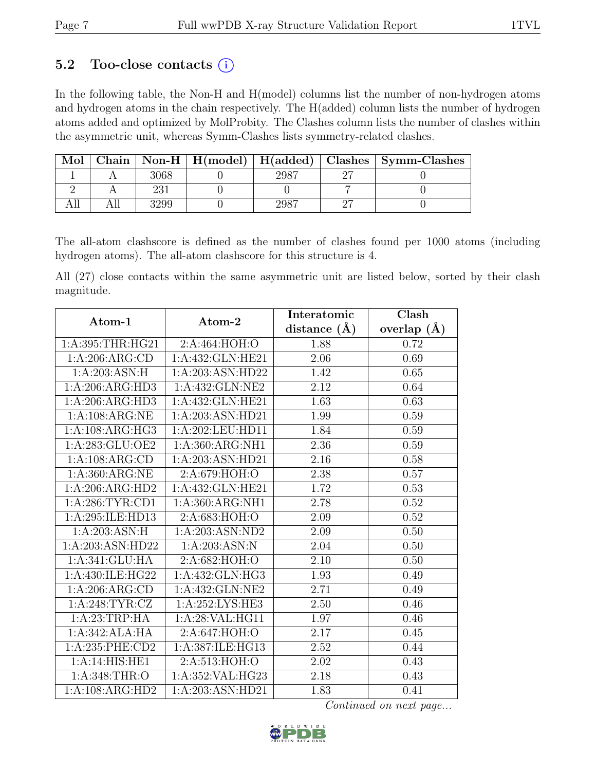### 5.2 Too-close contacts  $(i)$

In the following table, the Non-H and H(model) columns list the number of non-hydrogen atoms and hydrogen atoms in the chain respectively. The H(added) column lists the number of hydrogen atoms added and optimized by MolProbity. The Clashes column lists the number of clashes within the asymmetric unit, whereas Symm-Clashes lists symmetry-related clashes.

| Mol |  |  | Chain   Non-H   $H$ (model)   $H$ (added)   Clashes   Symm-Clashes |
|-----|--|--|--------------------------------------------------------------------|
|     |  |  |                                                                    |
|     |  |  |                                                                    |
|     |  |  |                                                                    |

The all-atom clashscore is defined as the number of clashes found per 1000 atoms (including hydrogen atoms). The all-atom clashscore for this structure is 4.

All (27) close contacts within the same asymmetric unit are listed below, sorted by their clash magnitude.

| Atom-1            | Atom-2             | Interatomic      | Clash         |
|-------------------|--------------------|------------------|---------------|
|                   |                    | distance $(\AA)$ | overlap $(A)$ |
| 1:A:395:THR:HG21  | 2:A:464:HOH:O      | 1.88             | 0.72          |
| 1:A:206:ARG:CD    | 1:A:432:GLN:HE21   | 2.06             | 0.69          |
| 1:A:203:ASN:H     | 1:A:203:ASN:HD22   | 1.42             | 0.65          |
| 1:A:206:ARG:HD3   | 1:A:432:GLN:NE2    | 2.12             | 0.64          |
| 1:A:206:ARG:HD3   | 1:A:432:GLN:HE21   | 1.63             | 0.63          |
| 1:A:108:ARG:NE    | 1:A:203:ASN:HD21   | 1.99             | 0.59          |
| 1:A:108:ARG:HG3   | 1:A:202:LEU:HD11   | 1.84             | 0.59          |
| 1:A:283:GLU:OE2   | 1: A:360: ARG:NH1  | 2.36             | $0.59\,$      |
| 1:A:108:ARG:CD    | 1:A:203:ASN:HD21   | 2.16             | $0.58\,$      |
| 1: A:360:ARG:NE   | 2:A:679:HOH:O      | 2.38             | 0.57          |
| 1:A:206:ARG:HD2   | 1:A:432:GLN:HE21   | 1.72             | 0.53          |
| 1: A:286:TYR:CD1  | 1:A:360:ARG:NH1    | 2.78             | 0.52          |
| 1:A:295:ILE:HD13  | 2:A:683:HOH:O      | 2.09             | 0.52          |
| 1:A:203:ASN:H     | 1:A:203:ASN:ND2    | 2.09             | 0.50          |
| 1:A:203:ASN:HD22  | 1:A:203:ASN:N      | 2.04             | 0.50          |
| 1: A:341: GLU: HA | 2:A:682:HOH:O      | 2.10             | 0.50          |
| 1:A:430:ILE:HG22  | 1:A:432:GLN:HG3    | 1.93             | 0.49          |
| 1:A:206:ARG:CD    | 1:A:432:GLN:NE2    | 2.71             | 0.49          |
| 1: A:248: TYR: CZ | 1: A:252: LYS: HE3 | 2.50             | 0.46          |
| 1:A:23:TRP:HA     | 1:A:28:VAL:HG11    | 1.97             | 0.46          |
| 1:A:342:ALA:HA    | 2:A:647:HOH:O      | 2.17             | 0.45          |
| 1:A:235:PHE:CD2   | 1:A:387:ILE:HG13   | 2.52             | 0.44          |
| 1:A:14:HIS:HE1    | 2:A:513:HOH:O      | 2.02             | 0.43          |
| 1:A:348:THR:O     | 1:A:352:VAL:HG23   | 2.18             | 0.43          |
| 1:A:108:ARG:HD2   | 1:A:203:ASN:HD21   | 1.83             | 0.41          |

Continued on next page...

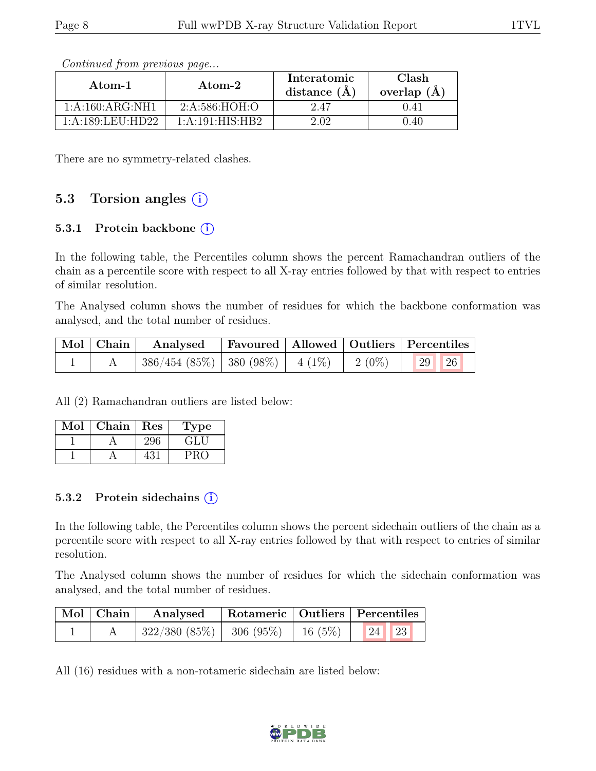| Atom-1               | Atom-2           | Interatomic<br>distance $(\AA)$ | Clash<br>overlap $(A)$ |  |
|----------------------|------------------|---------------------------------|------------------------|--|
| 1:A:160:ARG:NH1      | 2: A: 586: HOH:O | 2.47                            | 0.41                   |  |
| 1: A: 189: LEU: HD22 | 1:A:191:HIS:HB2  | 2.02                            | ).40                   |  |

Continued from previous page...

There are no symmetry-related clashes.

### 5.3 Torsion angles (i)

#### 5.3.1 Protein backbone (i)

In the following table, the Percentiles column shows the percent Ramachandran outliers of the chain as a percentile score with respect to all X-ray entries followed by that with respect to entries of similar resolution.

The Analysed column shows the number of residues for which the backbone conformation was analysed, and the total number of residues.

| Mol   Chain | Analysed   Favoured   Allowed   Outliers   Percentiles      |  |    |
|-------------|-------------------------------------------------------------|--|----|
|             | $^{\circ}$ 386/454 (85%)   380 (98%)   4 (1%)   2 (0%)   29 |  | 26 |

All (2) Ramachandran outliers are listed below:

| Mol | ${\rm Chain}$ | Res | Lype |
|-----|---------------|-----|------|
|     |               | 296 | GH J |
|     |               |     |      |

#### 5.3.2 Protein sidechains (i)

In the following table, the Percentiles column shows the percent sidechain outliers of the chain as a percentile score with respect to all X-ray entries followed by that with respect to entries of similar resolution.

The Analysed column shows the number of residues for which the sidechain conformation was analysed, and the total number of residues.

| $\mid$ Mol $\mid$ Chain $\mid$ | Analysed                              |  | Rotameric   Outliers   Percentiles |
|--------------------------------|---------------------------------------|--|------------------------------------|
|                                | $322/380(85\%)$ 306 (95\%)   16 (5\%) |  | $\mid$ 24 $\mid$ 23                |

All (16) residues with a non-rotameric sidechain are listed below:

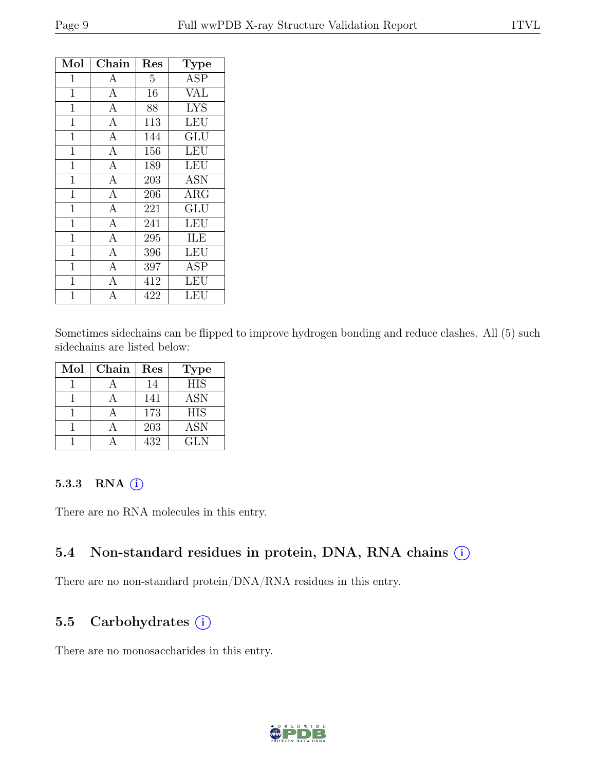| Mol            | Chain            | Res            | <b>Type</b> |
|----------------|------------------|----------------|-------------|
| $\mathbf 1$    | $\boldsymbol{A}$ | $\overline{5}$ | <b>ASP</b>  |
| $\mathbf 1$    | $\overline{A}$   | 16             | <b>VAL</b>  |
| $\mathbf{1}$   | $\overline{A}$   | 88             | <b>LYS</b>  |
| $\overline{1}$ | $\overline{A}$   | 113            | <b>LEU</b>  |
| $\mathbf 1$    | $\mathbf{A}$     | 144            | GLU         |
| 1              | $\overline{A}$   | 156            | LEU         |
| $\mathbf{1}$   | $\overline{A}$   | 189            | LEU         |
| $\overline{1}$ | $\mathbf{A}$     | 203            | <b>ASN</b>  |
| $\mathbf{1}$   | $\overline{A}$   | 206            | $\rm{ARG}$  |
| $\overline{1}$ | $\overline{A}$   | 221            | GLU         |
| $\overline{1}$ | $\overline{A}$   | 241            | <b>LEU</b>  |
| $\mathbf 1$    | $\overline{A}$   | 295            | ILE         |
| $\overline{1}$ | $\mathbf{A}$     | 396            | LEU         |
| 1              | $\overline{A}$   | 397            | <b>ASP</b>  |
| $\mathbf{1}$   | $\overline{A}$   | 412            | LEU         |
| 1              | $\overline{A}$   | 422            | LEU         |

Sometimes sidechains can be flipped to improve hydrogen bonding and reduce clashes. All (5) such sidechains are listed below:

| Mol | Chain | Res | <b>Type</b> |
|-----|-------|-----|-------------|
|     |       | 14  | <b>HIS</b>  |
|     |       | 141 | ASN         |
|     |       | 173 | <b>HIS</b>  |
|     |       | 203 | <b>ASN</b>  |
|     |       | 432 | GL N        |

#### 5.3.3 RNA  $(i)$

There are no RNA molecules in this entry.

#### 5.4 Non-standard residues in protein, DNA, RNA chains (i)

There are no non-standard protein/DNA/RNA residues in this entry.

#### 5.5 Carbohydrates (i)

There are no monosaccharides in this entry.

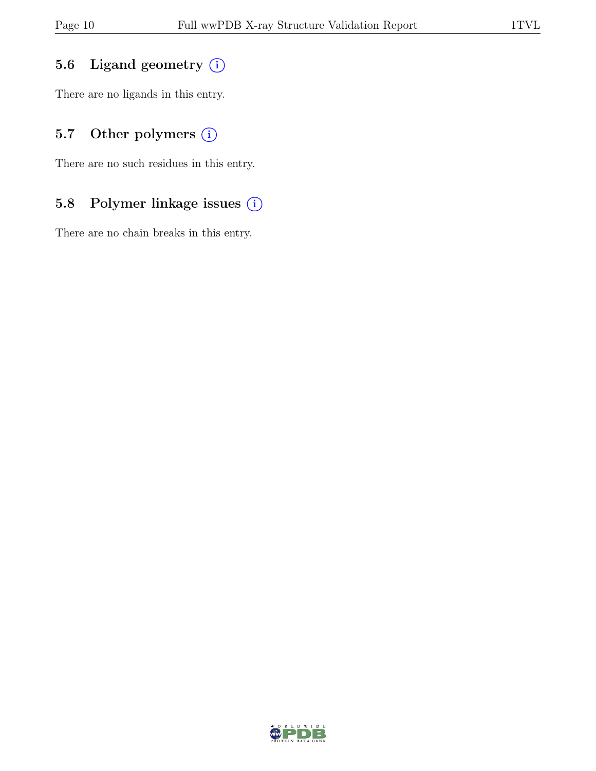### 5.6 Ligand geometry  $(i)$

There are no ligands in this entry.

### 5.7 Other polymers (i)

There are no such residues in this entry.

### 5.8 Polymer linkage issues (i)

There are no chain breaks in this entry.

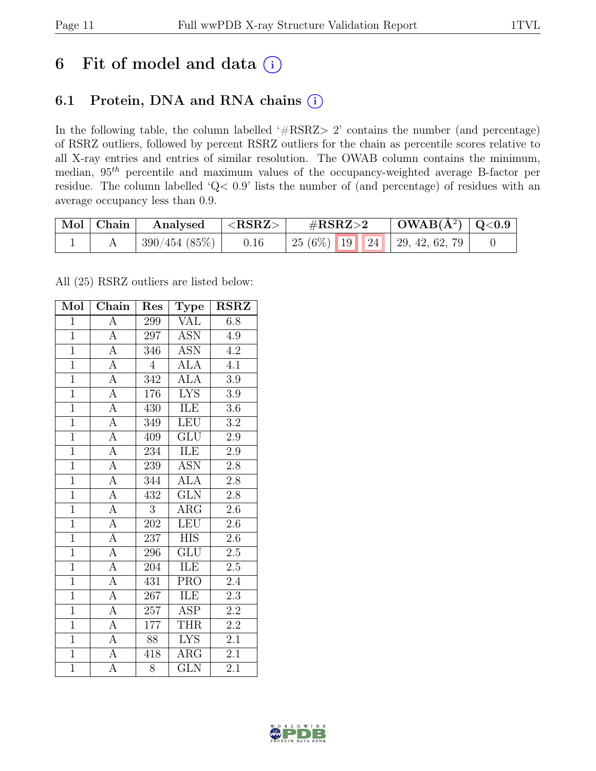## 6 Fit of model and data  $(i)$

### 6.1 Protein, DNA and RNA chains (i)

In the following table, the column labelled ' $\#\text{RSRZ}>2$ ' contains the number (and percentage) of RSRZ outliers, followed by percent RSRZ outliers for the chain as percentile scores relative to all X-ray entries and entries of similar resolution. The OWAB column contains the minimum, median, 95th percentile and maximum values of the occupancy-weighted average B-factor per residue. The column labelled 'Q< 0.9' lists the number of (and percentage) of residues with an average occupancy less than 0.9.

| Mol   Chain | Analysed     | ${ <\bf RSRZ> }$ | $\rm \#RSRZ{>}2$                    | $\mid$ OWAB(Å <sup>2</sup> ) $\mid$ Q<0.9 |  |
|-------------|--------------|------------------|-------------------------------------|-------------------------------------------|--|
|             | 390/454(85%) | 0.16             | 25 (6\%)   19   24   29, 42, 62, 79 |                                           |  |

All (25) RSRZ outliers are listed below:

| Mol            | $\overline{\text{Chain}}$ | Res              | <b>Type</b>             | <b>RSRZ</b>      |
|----------------|---------------------------|------------------|-------------------------|------------------|
| $\mathbf{1}$   | $\mathbf{A}$              | 299              | <b>VAL</b>              | 6.8              |
| $\mathbf{1}$   | $\overline{A}$            | 297              | <b>ASN</b>              | 4.9              |
| $\overline{1}$ | $\overline{A}$            | 346              | <b>ASN</b>              | 4.2              |
| $\overline{1}$ | $\overline{A}$            | $\overline{4}$   | <b>ALA</b>              | 4.1              |
| $\overline{1}$ | $\overline{A}$            | $\overline{342}$ | <b>ALA</b>              | $\overline{3.9}$ |
| $\overline{1}$ | $\overline{A}$            | 176              | <b>LYS</b>              | $3.9\,$          |
| $\overline{1}$ | $\overline{A}$            | 430              | ILE                     | 3.6              |
| $\overline{1}$ | $\overline{A}$            | 349              | <b>LEU</b>              | $\overline{3.2}$ |
| $\overline{1}$ | $\overline{A}$            | 409              | $\overline{\text{GLU}}$ | $2.9\,$          |
| $\overline{1}$ | $\overline{A}$            | 234              | ILE                     | $2.9\,$          |
| $\overline{1}$ | $\overline{A}$            | 239              | <b>ASN</b>              | $2.8\,$          |
| $\overline{1}$ | $\overline{A}$            | 344              | <b>ALA</b>              | $\overline{2.8}$ |
| $\overline{1}$ | $\overline{A}$            | 432              | <b>GLN</b>              | 2.8              |
| $\overline{1}$ | $\overline{A}$            | $\overline{3}$   | $\rm{ARG}$              | $2.6\,$          |
| $\overline{1}$ | $\overline{A}$            | 202              | $\overline{\text{LEU}}$ | $\overline{2.6}$ |
| $\overline{1}$ | $\overline{A}$            | 237              | <b>HIS</b>              | $2.\overline{6}$ |
| $\overline{1}$ | $\overline{A}$            | 296              | $\overline{\text{GLU}}$ | $\overline{2.5}$ |
| $\overline{1}$ | $\overline{A}$            | 204              | ILE                     | $2.5\,$          |
| $\overline{1}$ | $\overline{A}$            | 431              | <b>PRO</b>              | $2.4\,$          |
| $\mathbf{1}$   | $\overline{A}$            | 267              | ILE                     | $2.3\,$          |
| $\overline{1}$ | $\overline{A}$            | $257\,$          | ASP                     | $2.2\,$          |
| $\overline{1}$ | $\overline{A}$            | 177              | <b>THR</b>              | $\overline{2.2}$ |
| $\overline{1}$ | $\overline{A}$            | 88               | <b>LYS</b>              | 2.1              |
| $\overline{1}$ | $\overline{A}$            | $\sqrt{418}$     | $\rm{ARG}$              | $\overline{2.1}$ |
| $\mathbf{1}$   | $\overline{A}$            | 8                | <b>GLN</b>              | 2.1              |